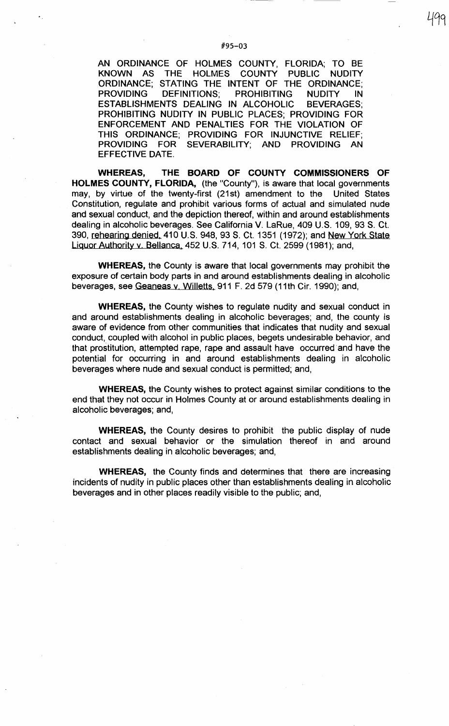AN ORDINANCE OF HOLMES COUNTY, FLORIDA; TO BE KNOWN AS THE HOLMES COUNTY PUBLIC NUDITY ORDINANCE; STATING THE INTENT OF THE ORDINANCE; PROVIDING DEFINITIONS; PROHIBITING NUDITY IN ESTABLISHMENTS DEALING IN ALCOHOLIC BEVERAGES; PROHIBITING NUDITY IN PUBLIC PLACES; PROVIDING FOR ENFORCEMENT AND PENALTIES FOR THE VIOLATION OF THIS ORDINANCE; PROVIDING FOR INJUNCTIVE RELIEF; PROVIDING FOR SEVERABILITY; AND PROVIDING AN EFFECTIVE DATE.

**WHEREAS, THE BOARD OF COUNTY COMMISSIONERS OF HOLMES COUNTY, FLORIDA,** (the "County"), is aware that local governments may, by virtue of the twenty-first (21st) amendment to the United States Constitution, regulate and prohibit various forms of actual and simulated nude and sexual conduct, and the depiction thereof, within and around establishments dealing in alcoholic beverages. See California V. LaRue, 409 U.S. 109, 93 S. Ct. 390, rehearing denied, 410 U.S. 948, 93 S. Ct. 1351 (1972); and New York State Liquor Authority v. Bellanca, 452 U.S. 714, 101 S. Ct. 2599 (1981 ); and,

**WHEREAS,** the County is aware that local governments may prohibit the exposure of certain body parts in and around establishments dealing in alcoholic beverages, see Geaneas v. Willetts, 911 F. 2d 579 (11th Cir. 1990); and,

**WHEREAS,** the County wishes to regulate nudity and sexual conduct in and around establishments dealing in alcoholic beverages; and, the county is aware of evidence from other communities that indicates that nudity and sexual conduct, coupled with alcohol in public places, begets undesirable behavior, and that prostitution, attempted rape, rape and assault have occurred and have the potential for occurring in and around establishments dealing in alcoholic beverages where nude and sexual conduct is permitted; and,

**WHEREAS,** the County wishes to protect against similar conditions to the end that they not occur in Holmes County at or around establishments dealing in alcoholic beverages; and,

**WHEREAS,** the County desires to prohibit the public display of nude contact and sexual behavior or the simulation thereof in and around establishments dealing in alcoholic beverages; and,

**WHEREAS,** the County finds and determines that there are increasing incidents of nudity in public places other than establishments dealing in alcoholic beverages and in other places readily visible to the public; and,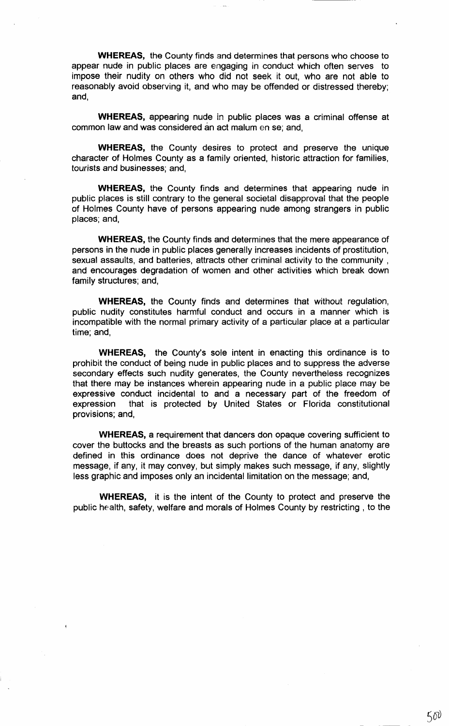**WHEREAS,** the County finds and determines that persons who choose to appear nude in public places are engaging in conduct which often serves to impose their nudity on others who did not seek it out, who are not able to reasonably avoid observing it, and who may be offended or distressed thereby; and,

**WHEREAS,** appearing nude in public places was a criminal offense at common law and was considered an act malum en se; and,

**WHEREAS,** the County desires to protect and preserve the unique character of Holmes County as a family oriented, historic attraction for families, tourists and businesses; and,

**WHEREAS,** the County finds and determines that appearing nude in public places is still contrary to the general societal disapproval that the people of Holmes County have of persons appearing nude among strangers in public places; and,

**WHEREAS,** the County finds and determines that the mere appearance of persons in the nude in public places generally increases incidents of prostitution, sexual assaults, and batteries, attracts other criminal activity to the community , and encourages degradation of women and other activities which break down family structures; and,

**WHEREAS,** the County finds and determines that without regulation, public nudity constitutes harmful conduct and occurs in a manner which is incompatible with the normal primary activity of a particular place at a particular time; and,

**WHEREAS,** the County's sole intent in enacting this ordinance is to prohibit the conduct of being nude in public places and to suppress the adverse secondary effects such nudity generates, the County nevertheless recognizes that there may be instances wherein appearing nude in a public place may be expressive conduct incidental to and a necessary part of the freedom of expression that is protected by United States or Florida constitutional provisions; and,

**WHEREAS, a** requirement that dancers don opaque covering sufficient to cover the buttocks and the breasts as such portions of the human anatomy are defined in this ordinance does not deprive the dance of whatever erotic message, if any, it may convey, but simply makes such message, if any, slightly less graphic and imposes only an incidental limitation on the message; and,

**WHEREAS,** it is the intent of the County to protect and preserve the public health, safety, welfare and morals of Holmes County by restricting , to the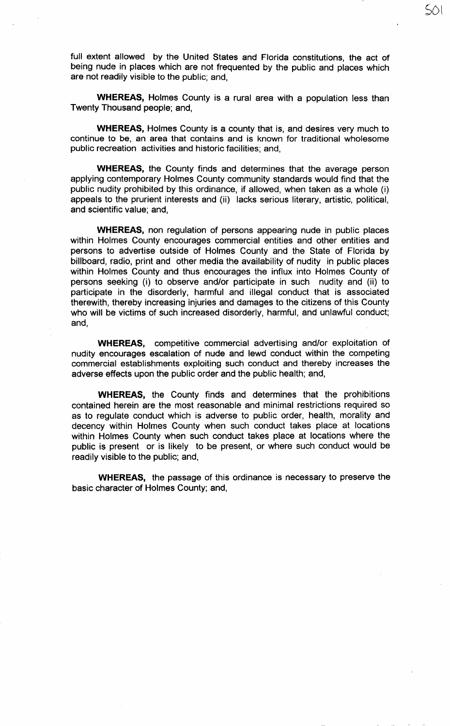full extent allowed by the United States and Florida constitutions, the act of being nude in places which are not frequented by the public and places which are not readily visible to the public; and,

 $50\sqrt{ }$ 

**WHEREAS,** Holmes County is a rural area with a population less than Twenty Thousand people; and,

**WHEREAS,** Holmes County is a county that is, and desires very much to continue to be, an area that contains and is known for traditional wholesome public recreation activities and historic facilities; and,

**WHEREAS,** the County finds and determines that the average person applying contemporary Holmes County community standards would find that the public nudity prohibited by this ordinance, if allowed, when taken as a whole (i) appeals to the prurient interests and (ii) lacks serious literary, artistic, political, and scientific value; and,

**WHEREAS,** non regulation of persons appearing nude in public places within Holmes County encourages commercial entities and other entities and persons to advertise outside of Holmes County and the State of Florida by billboard, radio, print and other media the availability of nudity in public places within Holmes County and thus encourages the influx into Holmes County of persons seeking (i) to observe and/or participate in such nudity and (ii) to participate in the disorderly, harmful and illegal conduct that is associated therewith, thereby increasing injuries and damages to the citizens of this County who will be victims of such increased disorderly, harmful, and unlawful conduct; and,

**WHEREAS,** competitive commercial advertising and/or exploitation of nudity encourages escalation of nude and lewd conduct within the competing commercial establishments exploiting such conduct and thereby increases the adverse effects upon the public order and the public health; and,

**WHEREAS,** the County finds and determines that the prohibitions contained herein are the most reasonable and minimal restrictions required so as to regulate conduct which is adverse to public order, health, morality and decency within Holmes County when such conduct takes place at locations within Holmes County when such conduct takes place at locations where the public is present or is likely to be present, or where such conduct would be readily visible to the public; and,

**WHEREAS,** the passage of this ordinance is necessary to preserve the basic character of Holmes County; and,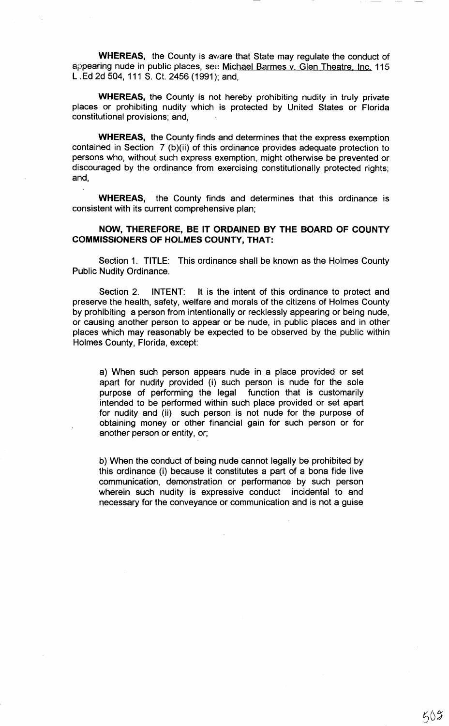**WHEREAS,** the County is aware that State may regulate the conduct of appearing nude in public places, seo Michael Barmes v. Glen Theatre, Inc. 115 L . Ed 2d 504, 111 S. Ct. 2456 ( 1991 ); and,

**WHEREAS,** the County is not hereby prohibiting nudity in truly private places or prohibiting nudity which is protected by United States or Florida constitutional provisions; and,

**WHEREAS,** the County finds and determines that the express exemption contained in Section 7 (b)(ii) of this ordinance provides adequate protection to persons who, without such express exemption, might otherwise be prevented or discouraged by the ordinance from exercising constitutionally protected rights; and,

**WHEREAS,** the County finds and determines that this ordinance is consistent with its current comprehensive plan;

## **NOW, THEREFORE, BE IT ORDAINED BY THE BOARD OF COUNTY COMMISSIONERS OF HOLMES COUNTY, THAT:**

Section 1. TITLE: This ordinance shall be known as the Holmes County Public Nudity Ordinance.

Section 2. INTENT: It is the intent of this ordinance to protect and preserve the health, safety, welfare and morals of the citizens of Holmes County by prohibiting a person from intentionally or recklessly appearing or being nude, or causing another person to appear or be nude, in public places and in other places which may reasonably be expected to be observed by the public within Holmes County, Florida, except:

a) When such person appears nude in a place provided or set apart for nudity provided (i) such person is nude for the sole purpose of performing the legal function that is customarily intended to be performed within such place provided or set apart for nudity and (ii) such person is not nude for the purpose of obtaining money or other financial gain for such person or for another person or entity, or;

b) When the conduct of being nude cannot legally be prohibited by this ordinance (i) because it constitutes a part of a bona fide live communication, demonstration or performance by such person wherein such nudity is expressive conduct incidental to and necessary for the conveyance or communication and is not a guise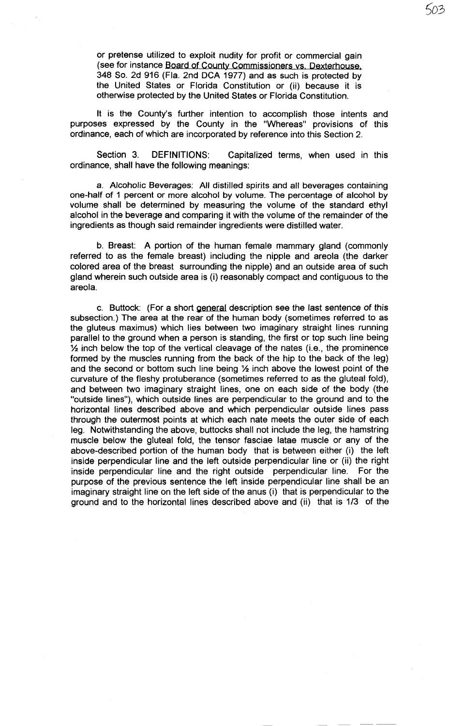or pretense utilized to exploit nudity for profit or commercial gain (see for instance Board of County Commissioners vs. Dexterhouse, 348 So. 2d 916 (Fla. 2nd DCA 1977) and as such is protected by the United States or Florida Constitution or (ii) because it is otherwise protected by the United States or Florida Constitution.

5o3

It is the County's further intention to accomplish those intents and purposes expressed by the County in the "Whereas" provisions of this ordinance, each of which are incorporated by reference into this Section 2.

Section 3. DEFINITIONS: Capitalized terms, when used in this ordinance, shall have the following meanings:

a. Alcoholic Beverages: All distilled spirits and all beverages containing one-half of 1 percent or more alcohol by volume. The percentage of alcohol by volume shall be determined by measuring the volume of the standard ethyl alcohol in the beverage and comparing it with the volume of the remainder of the ingredients as though said remainder ingredients were distilled water.

b. Breast: A portion of the human female mammary gland (commonly referred to as the female breast) including the nipple and areola (the darker colored area of the breast surrounding the nipple) and an outside area of such gland wherein such outside area is (i) reasonably compact and contiguous to the areola.

c. Buttock: (For a short general description see the last sentence of this subsection.) The area at the rear of the human body (sometimes referred to as the gluteus maximus) which lies between two imaginary straight lines running parallel to the ground when a person is standing, the first or top such line being % inch below the top of the vertical cleavage of the nates (i.e., the prominence formed by the muscles running from the back of the hip to the back of the leg) and the second or bottom such line being % inch above the lowest point of the curvature of the fleshy protuberance (sometimes referred to as the gluteal fold), and between two imaginary straight lines, one on each side of the body (the "outside lines"), which outside lines are perpendicular to the ground and to the horizontal lines described above and which perpendicular outside lines pass through the outermost points at which each nate meets the outer side of each leg. Notwithstanding the above, buttocks shall not include the leg, the hamstring muscle below the gluteal fold, the tensor fasciae latae muscle or any of the above-described portion of the human body that is between either (i) the left inside perpendicular line and the left outside perpendicular line or (ii) the right inside perpendicular line and the right outside perpendicular line. For the purpose of the previous sentence the left inside perpendicular line shall be an imaginary straight line on the left side of the anus (i) that is perpendicular to the ground and to the horizontal lines described above and (ii) that is 1/3 of the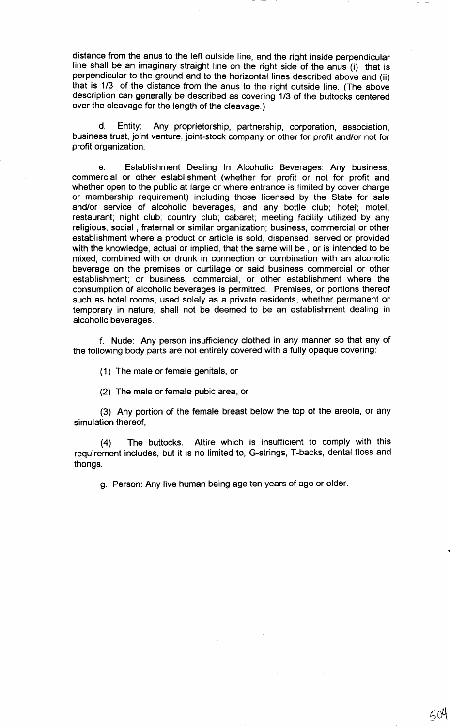distance from the anus to the left outside line, and the right inside perpendicular line shall be an imaginary straight line on the right side of the anus (i) that is perpendicular to the ground and to the horizontal lines described above and (ii) that is 1/3 of the distance from the anus to the right outside line. (The above description can generally be described as covering 1/3 of the buttocks centered over the cleavage for the length of the cleavage.)

d. Entity: Any proprietorship, partnership, corporation, association, business trust, joint venture, joint-stock company or other for profit and/or not for profit organization.

e. Establishment Dealing In Alcoholic Beverages: Any business, commercial or other establishment (whether for profit or not for profit and whether open to the public at large or where entrance is limited by cover charge or membership requirement) including those licensed by the State for sale and/or service of alcoholic beverages, and any bottle club; hotel; motel; restaurant; night club; country club; cabaret; meeting facility utilized by any religious, social , fraternal or similar organization; business, commercial or other establishment where a product or article is sold, dispensed, served or provided with the knowledge, actual or implied, that the same will be, or is intended to be mixed, combined with or drunk in connection or combination with an alcoholic beverage on the premises or curtilage or said business commercial or other establishment; or business, commercial, or other establishment where the consumption of alcoholic beverages is permitted. Premises, or portions thereof such as hotel rooms, used solely as a private residents, whether permanent or temporary in nature, shall not be deemed to be an establishment dealing in alcoholic beverages.

f. Nude: Any person insufficiency clothed in any manner so that any of the following body parts are not entirely covered with a fully opaque covering:

( 1 ) The male or female genitals, or

(2) The male or female pubic area, or

(3) Any portion of the female breast below the top of the areola, or any simulation thereof,

(4) The buttocks. Attire which is insufficient to comply with this requirement includes, but it is no limited to, G-strings, T-backs, dental floss and thongs.

g. Person: Any live human being age ten years of age or older.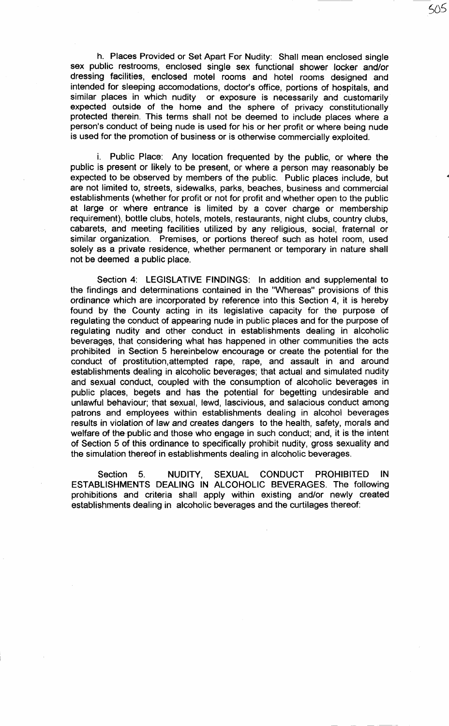h. Places Provided or Set Apart For Nudity: Shall mean enclosed single sex public restrooms, enclosed single sex functional shower locker and/or dressing facilities, enclosed motel rooms and hotel rooms designed and intended for sleeping accomodations, doctor's office, portions of hospitals, and similar places in which nudity or exposure is necessarily and customarily expected outside of the home and the sphere of privacy constitutionally protected therein. This terms shall not be deemed to include places where a person's conduct of being nude is used for his or her profit or where being nude is used for the promotion of business or is otherwise commercially exploited.

505

i. Public Place: Any location frequented by the public, or where the public is present or likely to be present, or where a person may reasonably be expected to be observed by members of the public. Public places include, but are not limited to, streets, sidewalks, parks, beaches, business and commercial establishments (whether for profit or not for profit and whether open to the public at large or where entrance is limited by a cover charge or membership requirement), bottle clubs, hotels, motels, restaurants, night clubs, country clubs, cabarets, and meeting facilities utilized by any religious, social, fraternal or similar organization. Premises, or portions thereof such as hotel room, used solely as a private residence, whether permanent or temporary in nature shall not be deemed a public place.

Section 4: LEGISLATIVE FINDINGS: In addition and supplemental to the findings and determinations contained in the "Whereas" provisions of this ordinance which are incorporated by reference into this Section 4, it is hereby found by the County acting in its legislative capacity for the purpose of regulating the conduct of appearing nude in public places and for the purpose of regulating nudity and other conduct in establishments dealing in alcoholic beverages, that considering what has happened in other communities the acts prohibited in Section 5 hereinbelow encourage or create the potential for the conduct of prostitution,attempted rape, rape, and assault in and around establishments dealing in alcoholic beverages; that actual and simulated nudity and sexual conduct, coupled with the consumption of alcoholic beverages in public places, begets and has the potential for begetting undesirable and unlawful behaviour; that sexual, lewd, lascivious, and salacious conduct among patrons and employees within establishments dealing in alcohol beverages results in violation of law and creates dangers to the health, safety, morals and welfare of the public and those who engage in such conduct; and, it is the intent of Section 5 of this ordinance to specifically prohibit nudity, gross sexuality and the simulation thereof in establishments dealing in alcoholic beverages.

Section 5. NUDITY, SEXUAL CONDUCT PROHIBITED IN ESTABLISHMENTS DEALING IN ALCOHOLIC BEVERAGES. The following prohibitions and criteria shall apply within existing and/or newly created establishments dealing in alcoholic beverages and the curtilages thereof: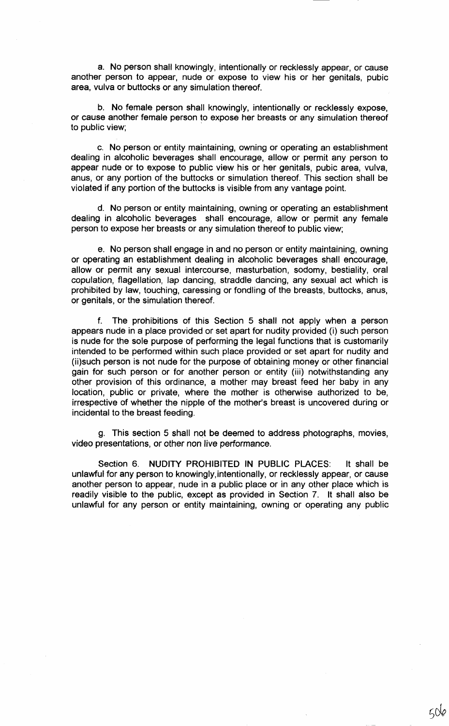a. No person shall knowingly, intentionally or recklessly appear, or cause another person to appear, nude or expose to view his or her genitals, pubic area, vulva or buttocks or any simulation thereof.

b. No female person shall knowingly, intentionally or recklessly expose, or cause another female person to expose her breasts or any simulation thereof to public view;

c. No person or entity maintaining, owning or operating an establishment dealing in alcoholic beverages shall encourage, allow or permit any person to appear nude or to expose to public view his or her genitals, pubic area, vulva, anus, or any portion of the buttocks or simulation thereof. This section shall be violated if any portion of the buttocks is visible from any vantage point.

d. No person or entity maintaining, owning or operating an establishment dealing in alcoholic beverages shall encourage, allow or permit any female person to expose her breasts or any simulation thereof to public view;

e. No person shall engage in and no person or entity maintaining, owning or operating an establishment dealing in alcoholic beverages shall encourage, allow or permit any sexual intercourse, masturbation, sodomy, bestiality, oral copulation, flagellation, lap dancing, straddle dancing, any sexual act which is prohibited by law, touching, caressing or fondling of the breasts, buttocks, anus, or genitals, or the simulation thereof.

f. The prohibitions of this Section 5 shall not apply when a person appears nude in a place provided or set apart for nudity provided (i) such person is nude for the sole purpose of performing the legal functions that is customarily intended to be performed within such place provided or set apart for nudity and (ii)such person is not nude for the purpose of obtaining money or other financial gain for such person or for another person or entity (iii) notwithstanding any other provision of this ordinance, a mother may breast feed her baby in any location, public or private, where the mother is otherwise authorized to be, irrespective of whether the nipple of the mother's breast is uncovered during or incidental to the breast feeding.

g. This section 5 shall not be deemed to address photographs, movies, video presentations, or other non live performance.

Section 6. NUDITY PROHIBITED IN PUBLIC PLACES: It shall be unlawful for any person to knowingly,intentionally, or recklessly appear, or cause another person to appear, nude in a public place or in any other place which is readily visible to the public, except as provided in Section 7. It shall also be unlawful for any person or entity maintaining, owning or operating any public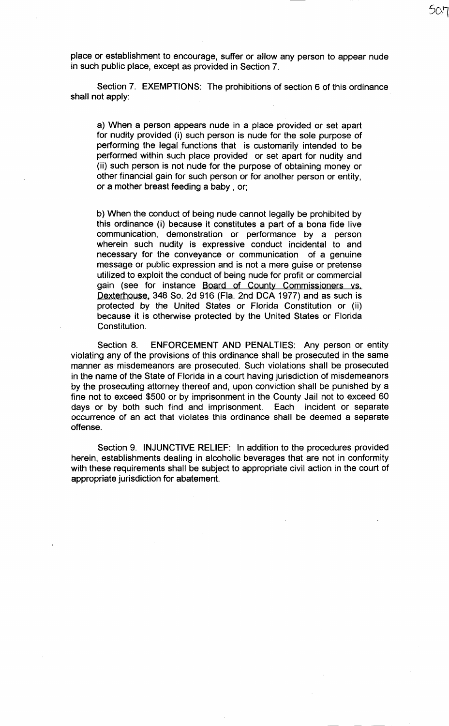place or establishment to encourage, suffer or allow any person to appear nude in such public place, except as provided in Section 7.

50-1

Section 7. EXEMPTIONS: The prohibitions of section 6 of this ordinance shall not apply:

a) When a person appears nude in a place provided or set apart for nudity provided (i) such person is nude for the sole purpose of performing the legal functions that is customarily intended to be performed within such place provided or set apart for nudity and (ii) such person is not nude for the purpose of obtaining money or other financial gain for such person or for another person or entity, or a mother breast feeding a baby , or;

b) When the conduct of being nude cannot legally be prohibited by this ordinance (i) because it constitutes a part of a bona fide live communication, demonstration or performance by a person wherein such nudity is expressive conduct incidental to and necessary for the conveyance or communication of a genuine message or public expression and is not a mere guise or pretense utilized to exploit the conduct of being nude for profit or commercial gain (see for instance Board of County Commissioners vs. Dexterhouse, 348 So. 2d 916 (Fla. 2nd DCA 1977) and as such is protected by the United States or Florida Constitution or (ii) because it is otherwise protected by the United States or Florida Constitution.

Section 8. ENFORCEMENT AND PENALTIES: Any person or entity violating any of the provisions of this ordinance shall be prosecuted in the same manner as· misdemeanors are prosecuted. Such violations shall be prosecuted in the name of the State of Florida in a court having jurisdiction of misdemeanors by the prosecuting attorney thereof and, upon conviction shall be punished by a fine not to exceed \$500 or by imprisonment in the County Jail not to exceed 60 days or by both such find and imprisonment. Each incident or separate occurrence of an act that violates this ordinance shall be deemed a separate offense.

Section 9. INJUNCTIVE RELIEF: In addition to the procedures provided herein, establishments dealing in alcoholic beverages that are not in conformity with these requirements shall be subject to appropriate civil action in the court of appropriate jurisdiction for abatement.